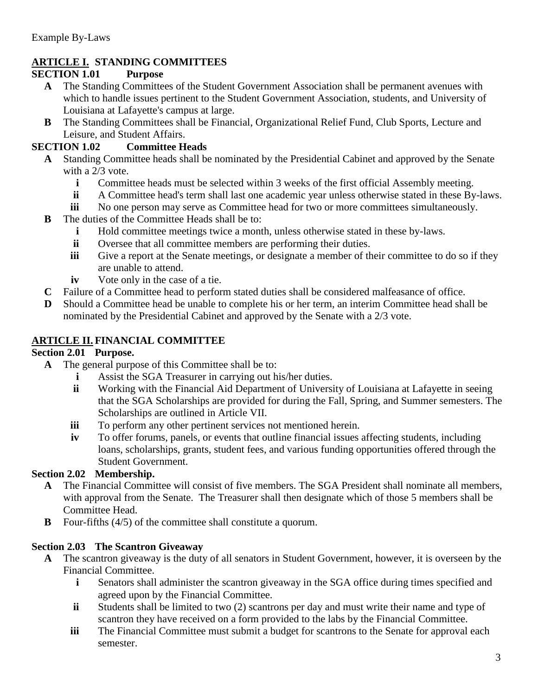# **ARTICLE I. STANDING COMMITTEES**

#### **SECTION 1.01 Purpose**

- **A** The Standing Committees of the Student Government Association shall be permanent avenues with which to handle issues pertinent to the Student Government Association, students, and University of Louisiana at Lafayette's campus at large.
- **B** The Standing Committees shall be Financial, Organizational Relief Fund, Club Sports, Lecture and Leisure, and Student Affairs.

#### **SECTION 1.02 Committee Heads**

- **A** Standing Committee heads shall be nominated by the Presidential Cabinet and approved by the Senate with a 2/3 vote.
	- **i** Committee heads must be selected within 3 weeks of the first official Assembly meeting.
	- **ii** A Committee head's term shall last one academic year unless otherwise stated in these By-laws.
	- **iii** No one person may serve as Committee head for two or more committees simultaneously.
- **B** The duties of the Committee Heads shall be to:
	- **i** Hold committee meetings twice a month, unless otherwise stated in these by-laws.
	- **ii** Oversee that all committee members are performing their duties.
	- **iii** Give a report at the Senate meetings, or designate a member of their committee to do so if they are unable to attend.
	- **iv** Vote only in the case of a tie.
- **C** Failure of a Committee head to perform stated duties shall be considered malfeasance of office.
- **D** Should a Committee head be unable to complete his or her term, an interim Committee head shall be nominated by the Presidential Cabinet and approved by the Senate with a 2/3 vote.

#### **ARTICLE II. FINANCIAL COMMITTEE**

#### **Section 2.01 Purpose.**

- **A** The general purpose of this Committee shall be to:
	- **i** Assist the SGA Treasurer in carrying out his/her duties.
	- **ii** Working with the Financial Aid Department of University of Louisiana at Lafayette in seeing that the SGA Scholarships are provided for during the Fall, Spring, and Summer semesters. The Scholarships are outlined in Article VII.
	- **iii** To perform any other pertinent services not mentioned herein.
	- **iv** To offer forums, panels, or events that outline financial issues affecting students, including loans, scholarships, grants, student fees, and various funding opportunities offered through the Student Government.

#### **Section 2.02 Membership.**

- **A** The Financial Committee will consist of five members. The SGA President shall nominate all members, with approval from the Senate. The Treasurer shall then designate which of those 5 members shall be Committee Head.
- **B** Four-fifths (4/5) of the committee shall constitute a quorum.

#### **Section 2.03 The Scantron Giveaway**

- **A** The scantron giveaway is the duty of all senators in Student Government, however, it is overseen by the Financial Committee.
	- **i** Senators shall administer the scantron giveaway in the SGA office during times specified and agreed upon by the Financial Committee.
	- **ii** Students shall be limited to two (2) scantrons per day and must write their name and type of scantron they have received on a form provided to the labs by the Financial Committee.
	- **iii** The Financial Committee must submit a budget for scantrons to the Senate for approval each semester.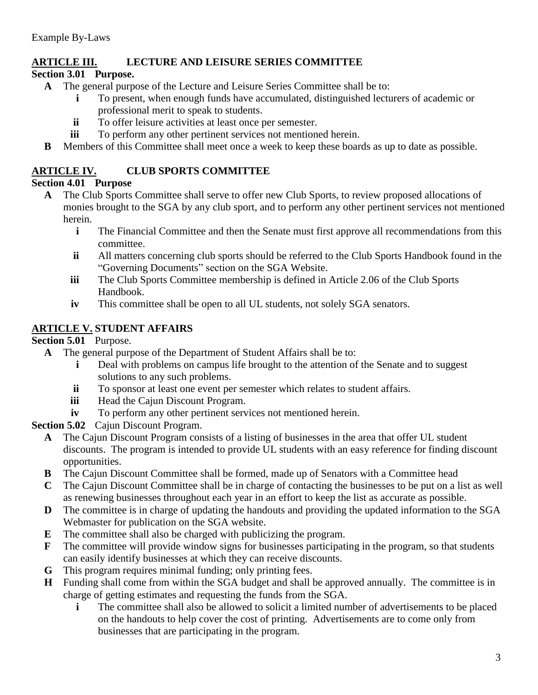# **ARTICLE III. LECTURE AND LEISURE SERIES COMMITTEE**

# **Section 3.01 Purpose.**

- **A** The general purpose of the Lecture and Leisure Series Committee shall be to:
	- **i** To present, when enough funds have accumulated, distinguished lecturers of academic or professional merit to speak to students.
	- **ii** To offer leisure activities at least once per semester.
	- **iii** To perform any other pertinent services not mentioned herein.
- **B** Members of this Committee shall meet once a week to keep these boards as up to date as possible.

# **ARTICLE IV. CLUB SPORTS COMMITTEE**

## **Section 4.01 Purpose**

- **A** The Club Sports Committee shall serve to offer new Club Sports, to review proposed allocations of monies brought to the SGA by any club sport, and to perform any other pertinent services not mentioned herein.
	- **i** The Financial Committee and then the Senate must first approve all recommendations from this committee.
	- **ii** All matters concerning club sports should be referred to the Club Sports Handbook found in the "Governing Documents" section on the SGA Website.
	- **iii** The Club Sports Committee membership is defined in Article 2.06 of the Club Sports Handbook.
	- **iv** This committee shall be open to all UL students, not solely SGA senators.

# **ARTICLE V. STUDENT AFFAIRS**

## **Section 5.01** Purpose.

- **A** The general purpose of the Department of Student Affairs shall be to:
	- **i** Deal with problems on campus life brought to the attention of the Senate and to suggest solutions to any such problems.
	- **ii** To sponsor at least one event per semester which relates to student affairs.
	- **iii** Head the Cajun Discount Program.
	- **iv** To perform any other pertinent services not mentioned herein.
- **Section 5.02** Cajun Discount Program.
	- **A** The Cajun Discount Program consists of a listing of businesses in the area that offer UL student discounts. The program is intended to provide UL students with an easy reference for finding discount opportunities.
	- **B** The Cajun Discount Committee shall be formed, made up of Senators with a Committee head
	- **C** The Cajun Discount Committee shall be in charge of contacting the businesses to be put on a list as well as renewing businesses throughout each year in an effort to keep the list as accurate as possible.
	- **D** The committee is in charge of updating the handouts and providing the updated information to the SGA Webmaster for publication on the SGA website.
	- **E** The committee shall also be charged with publicizing the program.
	- **F** The committee will provide window signs for businesses participating in the program, so that students can easily identify businesses at which they can receive discounts.
	- **G** This program requires minimal funding; only printing fees.
	- **H** Funding shall come from within the SGA budget and shall be approved annually. The committee is in charge of getting estimates and requesting the funds from the SGA.
		- **i** The committee shall also be allowed to solicit a limited number of advertisements to be placed on the handouts to help cover the cost of printing. Advertisements are to come only from businesses that are participating in the program.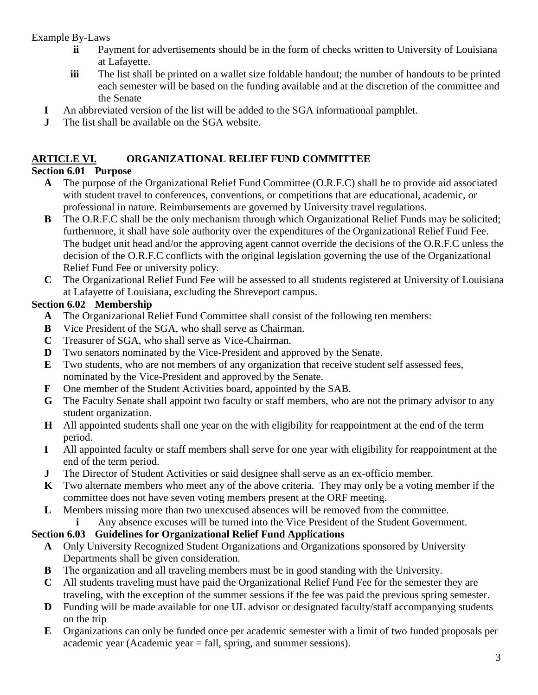- **ii** Payment for advertisements should be in the form of checks written to University of Louisiana at Lafayette.
- **iii** The list shall be printed on a wallet size foldable handout; the number of handouts to be printed each semester will be based on the funding available and at the discretion of the committee and the Senate
- **I** An abbreviated version of the list will be added to the SGA informational pamphlet.
- **J** The list shall be available on the SGA website.

# **ARTICLE VI. ORGANIZATIONAL RELIEF FUND COMMITTEE**

# **Section 6.01 Purpose**

- **A** The purpose of the Organizational Relief Fund Committee (O.R.F.C) shall be to provide aid associated with student travel to conferences, conventions, or competitions that are educational, academic, or professional in nature. Reimbursements are governed by University travel regulations.
- **B** The O.R.F.C shall be the only mechanism through which Organizational Relief Funds may be solicited; furthermore, it shall have sole authority over the expenditures of the Organizational Relief Fund Fee. The budget unit head and/or the approving agent cannot override the decisions of the O.R.F.C unless the decision of the O.R.F.C conflicts with the original legislation governing the use of the Organizational Relief Fund Fee or university policy.
- **C** The Organizational Relief Fund Fee will be assessed to all students registered at University of Louisiana at Lafayette of Louisiana, excluding the Shreveport campus.

# **Section 6.02 Membership**

- **A** The Organizational Relief Fund Committee shall consist of the following ten members:
- **B** Vice President of the SGA, who shall serve as Chairman.
- **C** Treasurer of SGA, who shall serve as Vice-Chairman.
- **D** Two senators nominated by the Vice-President and approved by the Senate.
- **E** Two students, who are not members of any organization that receive student self assessed fees, nominated by the Vice-President and approved by the Senate.
- **F** One member of the Student Activities board, appointed by the SAB.
- **G** The Faculty Senate shall appoint two faculty or staff members, who are not the primary advisor to any student organization.
- **H** All appointed students shall one year on the with eligibility for reappointment at the end of the term period.
- **I** All appointed faculty or staff members shall serve for one year with eligibility for reappointment at the end of the term period.
- **J** The Director of Student Activities or said designee shall serve as an ex-officio member.
- **K** Two alternate members who meet any of the above criteria. They may only be a voting member if the committee does not have seven voting members present at the ORF meeting.
- **L** Members missing more than two unexcused absences will be removed from the committee.
	- **i** Any absence excuses will be turned into the Vice President of the Student Government.

## **Section 6.03 Guidelines for Organizational Relief Fund Applications**

- **A** Only University Recognized Student Organizations and Organizations sponsored by University Departments shall be given consideration.
- **B** The organization and all traveling members must be in good standing with the University.
- **C** All students traveling must have paid the Organizational Relief Fund Fee for the semester they are traveling, with the exception of the summer sessions if the fee was paid the previous spring semester.
- **D** Funding will be made available for one UL advisor or designated faculty/staff accompanying students on the trip
- **E** Organizations can only be funded once per academic semester with a limit of two funded proposals per academic year (Academic year = fall, spring, and summer sessions).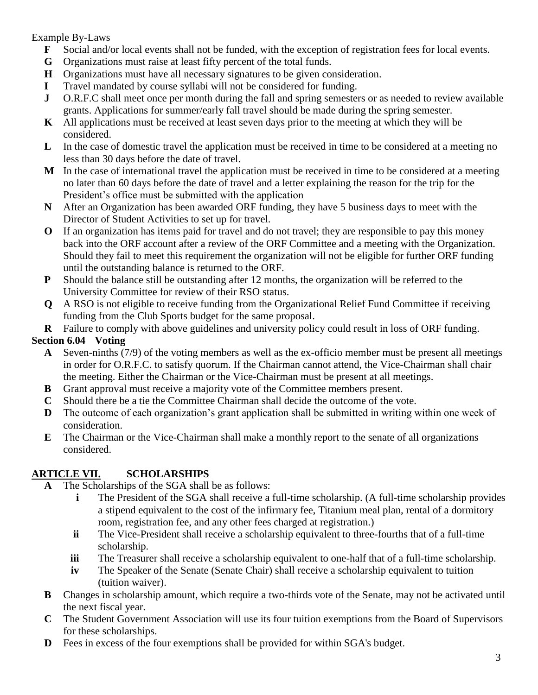- **F** Social and/or local events shall not be funded, with the exception of registration fees for local events.
- **G** Organizations must raise at least fifty percent of the total funds.
- **H** Organizations must have all necessary signatures to be given consideration.
- **I** Travel mandated by course syllabi will not be considered for funding.
- **J** O.R.F.C shall meet once per month during the fall and spring semesters or as needed to review available grants. Applications for summer/early fall travel should be made during the spring semester.
- **K** All applications must be received at least seven days prior to the meeting at which they will be considered.
- **L** In the case of domestic travel the application must be received in time to be considered at a meeting no less than 30 days before the date of travel.
- **M** In the case of international travel the application must be received in time to be considered at a meeting no later than 60 days before the date of travel and a letter explaining the reason for the trip for the President's office must be submitted with the application
- **N** After an Organization has been awarded ORF funding, they have 5 business days to meet with the Director of Student Activities to set up for travel.
- **O** If an organization has items paid for travel and do not travel; they are responsible to pay this money back into the ORF account after a review of the ORF Committee and a meeting with the Organization. Should they fail to meet this requirement the organization will not be eligible for further ORF funding until the outstanding balance is returned to the ORF.
- **P** Should the balance still be outstanding after 12 months, the organization will be referred to the University Committee for review of their RSO status.
- **Q** A RSO is not eligible to receive funding from the Organizational Relief Fund Committee if receiving funding from the Club Sports budget for the same proposal.
- **R** Failure to comply with above guidelines and university policy could result in loss of ORF funding.

# **Section 6.04 Voting**

- **A** Seven-ninths (7/9) of the voting members as well as the ex-officio member must be present all meetings in order for O.R.F.C. to satisfy quorum. If the Chairman cannot attend, the Vice-Chairman shall chair the meeting. Either the Chairman or the Vice-Chairman must be present at all meetings.
- **B** Grant approval must receive a majority vote of the Committee members present.
- **C** Should there be a tie the Committee Chairman shall decide the outcome of the vote.
- **D** The outcome of each organization's grant application shall be submitted in writing within one week of consideration.
- **E** The Chairman or the Vice-Chairman shall make a monthly report to the senate of all organizations considered.

# **ARTICLE VII. SCHOLARSHIPS**

- **A** The Scholarships of the SGA shall be as follows:
	- **i** The President of the SGA shall receive a full-time scholarship. (A full-time scholarship provides a stipend equivalent to the cost of the infirmary fee, Titanium meal plan, rental of a dormitory room, registration fee, and any other fees charged at registration.)
	- **ii** The Vice-President shall receive a scholarship equivalent to three-fourths that of a full-time scholarship.
	- **iii** The Treasurer shall receive a scholarship equivalent to one-half that of a full-time scholarship.
	- **iv** The Speaker of the Senate (Senate Chair) shall receive a scholarship equivalent to tuition (tuition waiver).
- **B** Changes in scholarship amount, which require a two-thirds vote of the Senate, may not be activated until the next fiscal year.
- **C** The Student Government Association will use its four tuition exemptions from the Board of Supervisors for these scholarships.
- **D** Fees in excess of the four exemptions shall be provided for within SGA's budget.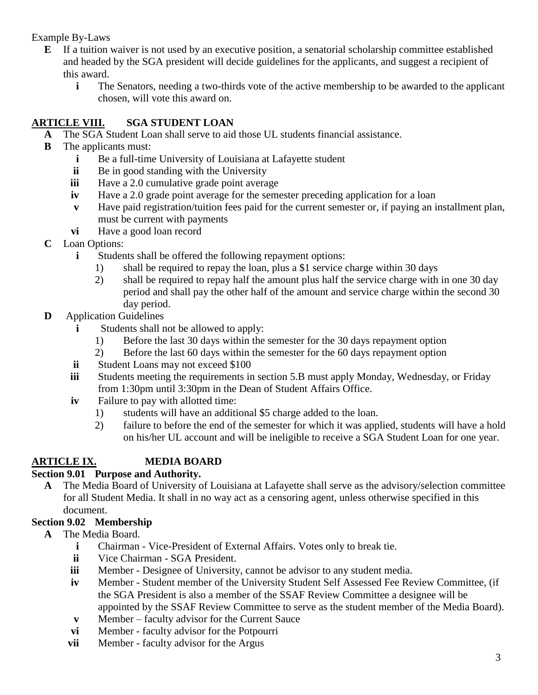- **E** If a tuition waiver is not used by an executive position, a senatorial scholarship committee established and headed by the SGA president will decide guidelines for the applicants, and suggest a recipient of this award.
	- **i** The Senators, needing a two-thirds vote of the active membership to be awarded to the applicant chosen, will vote this award on.

# **ARTICLE VIII. SGA STUDENT LOAN**

- **A** The SGA Student Loan shall serve to aid those UL students financial assistance.
- **B** The applicants must:
	- **i** Be a full-time University of Louisiana at Lafayette student
	- **ii** Be in good standing with the University
	- **iii** Have a 2.0 cumulative grade point average
	- **iv** Have a 2.0 grade point average for the semester preceding application for a loan
	- **v** Have paid registration/tuition fees paid for the current semester or, if paying an installment plan, must be current with payments
	- **vi** Have a good loan record
- **C** Loan Options:
	- **i** Students shall be offered the following repayment options:
		- 1) shall be required to repay the loan, plus a \$1 service charge within 30 days
		- 2) shall be required to repay half the amount plus half the service charge with in one 30 day period and shall pay the other half of the amount and service charge within the second 30 day period.
- **D** Application Guidelines
	- **i** Students shall not be allowed to apply:
		- 1) Before the last 30 days within the semester for the 30 days repayment option
		- 2) Before the last 60 days within the semester for the 60 days repayment option
	- **ii** Student Loans may not exceed \$100
	- **iii** Students meeting the requirements in section 5.B must apply Monday, Wednesday, or Friday from 1:30pm until 3:30pm in the Dean of Student Affairs Office.
	- **iv** Failure to pay with allotted time:
		- 1) students will have an additional \$5 charge added to the loan.
		- 2) failure to before the end of the semester for which it was applied, students will have a hold on his/her UL account and will be ineligible to receive a SGA Student Loan for one year.

# **ARTICLE IX. MEDIA BOARD**

## **Section 9.01 Purpose and Authority.**

**A** The Media Board of University of Louisiana at Lafayette shall serve as the advisory/selection committee for all Student Media. It shall in no way act as a censoring agent, unless otherwise specified in this document.

## **Section 9.02 Membership**

- **A** The Media Board.
	- **i** Chairman Vice-President of External Affairs. Votes only to break tie.
	- **ii** Vice Chairman SGA President.
	- **iii** Member Designee of University, cannot be advisor to any student media.
	- **iv** Member Student member of the University Student Self Assessed Fee Review Committee, (if the SGA President is also a member of the SSAF Review Committee a designee will be appointed by the SSAF Review Committee to serve as the student member of the Media Board).
	- **v** Member faculty advisor for the Current Sauce
	- **vi** Member faculty advisor for the Potpourri
	- **vii** Member faculty advisor for the Argus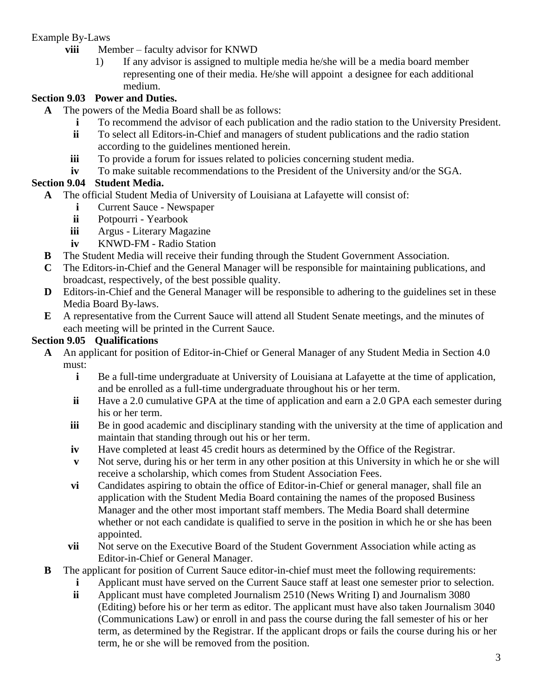- **viii** Member faculty advisor for KNWD
	- 1) If any advisor is assigned to multiple media he/she will be a media board member representing one of their media. He/she will appoint a designee for each additional medium.

## **Section 9.03 Power and Duties.**

- **A** The powers of the Media Board shall be as follows:
	- **i** To recommend the advisor of each publication and the radio station to the University President.
	- **ii** To select all Editors-in-Chief and managers of student publications and the radio station according to the guidelines mentioned herein.
	- **iii** To provide a forum for issues related to policies concerning student media.
	- **iv** To make suitable recommendations to the President of the University and/or the SGA.

## **Section 9.04 Student Media.**

- **A** The official Student Media of University of Louisiana at Lafayette will consist of:
	- **i** Current Sauce Newspaper
	- **ii** Potpourri Yearbook
	- **iii** Argus Literary Magazine
	- **iv** KNWD-FM Radio Station
- **B** The Student Media will receive their funding through the Student Government Association.
- **C** The Editors-in-Chief and the General Manager will be responsible for maintaining publications, and broadcast, respectively, of the best possible quality.
- **D** Editors-in-Chief and the General Manager will be responsible to adhering to the guidelines set in these Media Board By-laws.
- **E** A representative from the Current Sauce will attend all Student Senate meetings, and the minutes of each meeting will be printed in the Current Sauce.

#### **Section 9.05 Qualifications**

- **A** An applicant for position of Editor-in-Chief or General Manager of any Student Media in Section 4.0 must:
	- **i** Be a full-time undergraduate at University of Louisiana at Lafayette at the time of application, and be enrolled as a full-time undergraduate throughout his or her term.
	- **ii** Have a 2.0 cumulative GPA at the time of application and earn a 2.0 GPA each semester during his or her term.
	- **iii** Be in good academic and disciplinary standing with the university at the time of application and maintain that standing through out his or her term.
	- **iv** Have completed at least 45 credit hours as determined by the Office of the Registrar.
	- **v** Not serve, during his or her term in any other position at this University in which he or she will receive a scholarship, which comes from Student Association Fees.
	- **vi** Candidates aspiring to obtain the office of Editor-in-Chief or general manager, shall file an application with the Student Media Board containing the names of the proposed Business Manager and the other most important staff members. The Media Board shall determine whether or not each candidate is qualified to serve in the position in which he or she has been appointed.
	- **vii** Not serve on the Executive Board of the Student Government Association while acting as Editor-in-Chief or General Manager.
- **B** The applicant for position of Current Sauce editor-in-chief must meet the following requirements:
	- **i** Applicant must have served on the Current Sauce staff at least one semester prior to selection.
	- **ii** Applicant must have completed Journalism 2510 (News Writing I) and Journalism 3080 (Editing) before his or her term as editor. The applicant must have also taken Journalism 3040 (Communications Law) or enroll in and pass the course during the fall semester of his or her term, as determined by the Registrar. If the applicant drops or fails the course during his or her term, he or she will be removed from the position.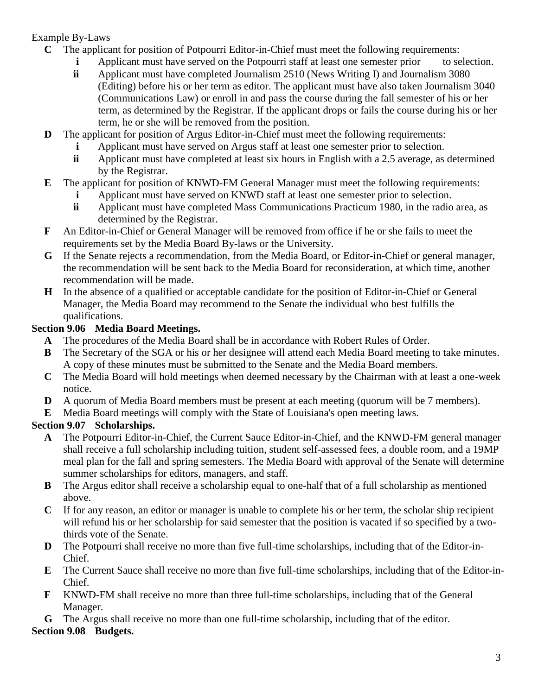- **C** The applicant for position of Potpourri Editor-in-Chief must meet the following requirements:
	- **i** Applicant must have served on the Potpourri staff at least one semester prior to selection.
	- **ii** Applicant must have completed Journalism 2510 (News Writing I) and Journalism 3080 (Editing) before his or her term as editor. The applicant must have also taken Journalism 3040 (Communications Law) or enroll in and pass the course during the fall semester of his or her term, as determined by the Registrar. If the applicant drops or fails the course during his or her term, he or she will be removed from the position.
- **D** The applicant for position of Argus Editor-in-Chief must meet the following requirements:
	- **i** Applicant must have served on Argus staff at least one semester prior to selection.
	- **ii** Applicant must have completed at least six hours in English with a 2.5 average, as determined by the Registrar.
- **E** The applicant for position of KNWD-FM General Manager must meet the following requirements:
	- **i** Applicant must have served on KNWD staff at least one semester prior to selection.
	- **ii** Applicant must have completed Mass Communications Practicum 1980, in the radio area, as determined by the Registrar.
- **F** An Editor-in-Chief or General Manager will be removed from office if he or she fails to meet the requirements set by the Media Board By-laws or the University.
- **G** If the Senate rejects a recommendation, from the Media Board, or Editor-in-Chief or general manager, the recommendation will be sent back to the Media Board for reconsideration, at which time, another recommendation will be made.
- **H** In the absence of a qualified or acceptable candidate for the position of Editor-in-Chief or General Manager, the Media Board may recommend to the Senate the individual who best fulfills the qualifications.

# **Section 9.06 Media Board Meetings.**

- **A** The procedures of the Media Board shall be in accordance with Robert Rules of Order.
- **B** The Secretary of the SGA or his or her designee will attend each Media Board meeting to take minutes. A copy of these minutes must be submitted to the Senate and the Media Board members.
- **C** The Media Board will hold meetings when deemed necessary by the Chairman with at least a one-week notice.
- **D** A quorum of Media Board members must be present at each meeting (quorum will be 7 members).
- **E** Media Board meetings will comply with the State of Louisiana's open meeting laws.

# **Section 9.07 Scholarships.**

- **A** The Potpourri Editor-in-Chief, the Current Sauce Editor-in-Chief, and the KNWD-FM general manager shall receive a full scholarship including tuition, student self-assessed fees, a double room, and a 19MP meal plan for the fall and spring semesters. The Media Board with approval of the Senate will determine summer scholarships for editors, managers, and staff.
- **B** The Argus editor shall receive a scholarship equal to one-half that of a full scholarship as mentioned above.
- **C** If for any reason, an editor or manager is unable to complete his or her term, the scholar ship recipient will refund his or her scholarship for said semester that the position is vacated if so specified by a twothirds vote of the Senate.
- **D** The Potpourri shall receive no more than five full-time scholarships, including that of the Editor-in-Chief.
- **E** The Current Sauce shall receive no more than five full-time scholarships, including that of the Editor-in-Chief.
- **F** KNWD-FM shall receive no more than three full-time scholarships, including that of the General Manager.
- **G** The Argus shall receive no more than one full-time scholarship, including that of the editor.

# **Section 9.08 Budgets.**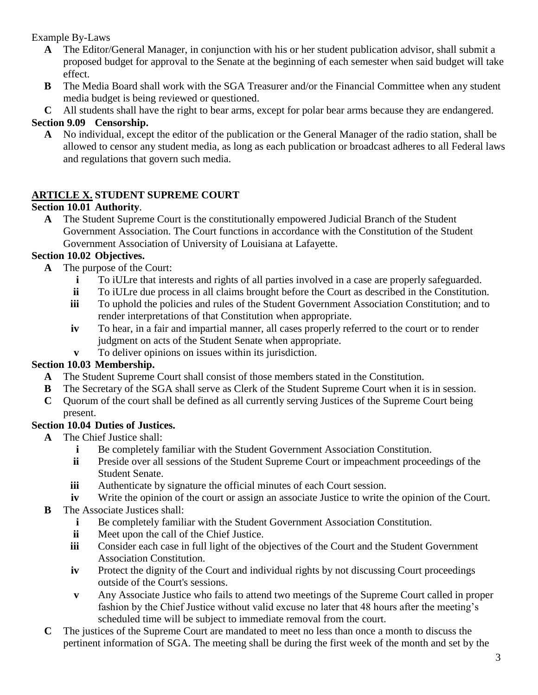- **A** The Editor/General Manager, in conjunction with his or her student publication advisor, shall submit a proposed budget for approval to the Senate at the beginning of each semester when said budget will take effect.
- **B** The Media Board shall work with the SGA Treasurer and/or the Financial Committee when any student media budget is being reviewed or questioned.
- **C** All students shall have the right to bear arms, except for polar bear arms because they are endangered.

# **Section 9.09 Censorship.**

**A** No individual, except the editor of the publication or the General Manager of the radio station, shall be allowed to censor any student media, as long as each publication or broadcast adheres to all Federal laws and regulations that govern such media.

# **ARTICLE X. STUDENT SUPREME COURT**

# **Section 10.01 Authority**.

**A** The Student Supreme Court is the constitutionally empowered Judicial Branch of the Student Government Association. The Court functions in accordance with the Constitution of the Student Government Association of University of Louisiana at Lafayette.

## **Section 10.02 Objectives.**

- **A** The purpose of the Court:
	- **i** To iULre that interests and rights of all parties involved in a case are properly safeguarded.
	- **ii** To iULre due process in all claims brought before the Court as described in the Constitution.
	- **iii** To uphold the policies and rules of the Student Government Association Constitution; and to render interpretations of that Constitution when appropriate.
	- **iv** To hear, in a fair and impartial manner, all cases properly referred to the court or to render judgment on acts of the Student Senate when appropriate.
	- **v** To deliver opinions on issues within its jurisdiction.

## **Section 10.03 Membership.**

- **A** The Student Supreme Court shall consist of those members stated in the Constitution.
- **B** The Secretary of the SGA shall serve as Clerk of the Student Supreme Court when it is in session.
- **C** Quorum of the court shall be defined as all currently serving Justices of the Supreme Court being present.

## **Section 10.04 Duties of Justices.**

- **A** The Chief Justice shall:
	- **i** Be completely familiar with the Student Government Association Constitution.
	- **ii** Preside over all sessions of the Student Supreme Court or impeachment proceedings of the Student Senate.
	- **iii** Authenticate by signature the official minutes of each Court session.
	- **iv** Write the opinion of the court or assign an associate Justice to write the opinion of the Court.
- **B** The Associate Justices shall:
	- **i** Be completely familiar with the Student Government Association Constitution.
	- **ii** Meet upon the call of the Chief Justice.
	- **iii** Consider each case in full light of the objectives of the Court and the Student Government Association Constitution.
	- **iv** Protect the dignity of the Court and individual rights by not discussing Court proceedings outside of the Court's sessions.
	- **v** Any Associate Justice who fails to attend two meetings of the Supreme Court called in proper fashion by the Chief Justice without valid excuse no later that 48 hours after the meeting's scheduled time will be subject to immediate removal from the court.
- **C** The justices of the Supreme Court are mandated to meet no less than once a month to discuss the pertinent information of SGA. The meeting shall be during the first week of the month and set by the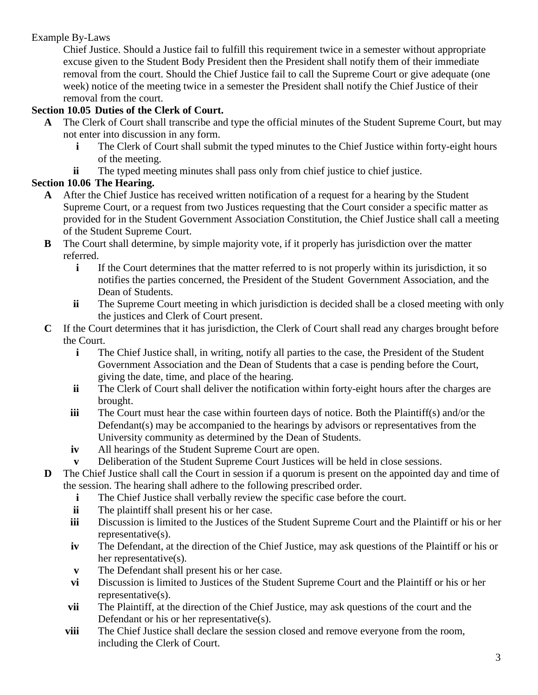Chief Justice. Should a Justice fail to fulfill this requirement twice in a semester without appropriate excuse given to the Student Body President then the President shall notify them of their immediate removal from the court. Should the Chief Justice fail to call the Supreme Court or give adequate (one week) notice of the meeting twice in a semester the President shall notify the Chief Justice of their removal from the court.

# **Section 10.05 Duties of the Clerk of Court.**

- **A** The Clerk of Court shall transcribe and type the official minutes of the Student Supreme Court, but may not enter into discussion in any form.
	- **i** The Clerk of Court shall submit the typed minutes to the Chief Justice within forty-eight hours of the meeting.
	- **ii** The typed meeting minutes shall pass only from chief justice to chief justice.

# **Section 10.06 The Hearing.**

- **A** After the Chief Justice has received written notification of a request for a hearing by the Student Supreme Court, or a request from two Justices requesting that the Court consider a specific matter as provided for in the Student Government Association Constitution, the Chief Justice shall call a meeting of the Student Supreme Court.
- **B** The Court shall determine, by simple majority vote, if it properly has jurisdiction over the matter referred.
	- **i** If the Court determines that the matter referred to is not properly within its jurisdiction, it so notifies the parties concerned, the President of the Student Government Association, and the Dean of Students.
	- **ii** The Supreme Court meeting in which jurisdiction is decided shall be a closed meeting with only the justices and Clerk of Court present.
- **C** If the Court determines that it has jurisdiction, the Clerk of Court shall read any charges brought before the Court.
	- **i** The Chief Justice shall, in writing, notify all parties to the case, the President of the Student Government Association and the Dean of Students that a case is pending before the Court, giving the date, time, and place of the hearing.
	- **ii** The Clerk of Court shall deliver the notification within forty-eight hours after the charges are brought.
	- **iii** The Court must hear the case within fourteen days of notice. Both the Plaintiff(s) and/or the Defendant(s) may be accompanied to the hearings by advisors or representatives from the University community as determined by the Dean of Students.
	- **iv** All hearings of the Student Supreme Court are open.
	- **v** Deliberation of the Student Supreme Court Justices will be held in close sessions.
- **D** The Chief Justice shall call the Court in session if a quorum is present on the appointed day and time of the session. The hearing shall adhere to the following prescribed order.
	- **i** The Chief Justice shall verbally review the specific case before the court.
	- **ii** The plaintiff shall present his or her case.
	- **iii** Discussion is limited to the Justices of the Student Supreme Court and the Plaintiff or his or her representative(s).
	- **iv** The Defendant, at the direction of the Chief Justice, may ask questions of the Plaintiff or his or her representative(s).
	- **v** The Defendant shall present his or her case.
	- **vi** Discussion is limited to Justices of the Student Supreme Court and the Plaintiff or his or her representative(s).
	- **vii** The Plaintiff, at the direction of the Chief Justice, may ask questions of the court and the Defendant or his or her representative(s).
	- **viii** The Chief Justice shall declare the session closed and remove everyone from the room, including the Clerk of Court.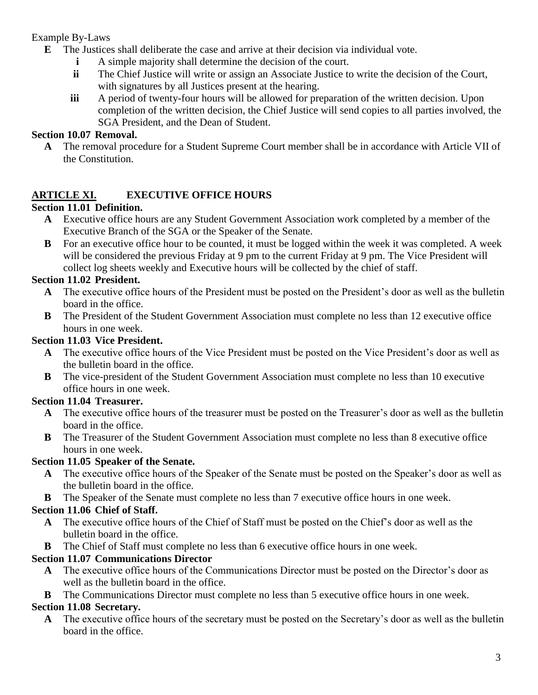- **E** The Justices shall deliberate the case and arrive at their decision via individual vote.
	- **i** A simple majority shall determine the decision of the court.
	- **ii** The Chief Justice will write or assign an Associate Justice to write the decision of the Court, with signatures by all Justices present at the hearing.
	- **iii** A period of twenty-four hours will be allowed for preparation of the written decision. Upon completion of the written decision, the Chief Justice will send copies to all parties involved, the SGA President, and the Dean of Student.

#### **Section 10.07 Removal.**

**A** The removal procedure for a Student Supreme Court member shall be in accordance with Article VII of the Constitution.

# **ARTICLE XI. EXECUTIVE OFFICE HOURS**

# **Section 11.01 Definition.**

- **A** Executive office hours are any Student Government Association work completed by a member of the Executive Branch of the SGA or the Speaker of the Senate.
- **B** For an executive office hour to be counted, it must be logged within the week it was completed. A week will be considered the previous Friday at 9 pm to the current Friday at 9 pm. The Vice President will collect log sheets weekly and Executive hours will be collected by the chief of staff.

## **Section 11.02 President.**

- **A** The executive office hours of the President must be posted on the President's door as well as the bulletin board in the office.
- **B** The President of the Student Government Association must complete no less than 12 executive office hours in one week.

## **Section 11.03 Vice President.**

- **A** The executive office hours of the Vice President must be posted on the Vice President's door as well as the bulletin board in the office.
- **B** The vice-president of the Student Government Association must complete no less than 10 executive office hours in one week.

#### **Section 11.04 Treasurer.**

- **A** The executive office hours of the treasurer must be posted on the Treasurer's door as well as the bulletin board in the office.
- **B** The Treasurer of the Student Government Association must complete no less than 8 executive office hours in one week.

## **Section 11.05 Speaker of the Senate.**

- **A** The executive office hours of the Speaker of the Senate must be posted on the Speaker's door as well as the bulletin board in the office.
- **B** The Speaker of the Senate must complete no less than 7 executive office hours in one week.

## **Section 11.06 Chief of Staff.**

- **A** The executive office hours of the Chief of Staff must be posted on the Chief's door as well as the bulletin board in the office.
- **B** The Chief of Staff must complete no less than 6 executive office hours in one week.

## **Section 11.07 Communications Director**

- **A** The executive office hours of the Communications Director must be posted on the Director's door as well as the bulletin board in the office.
- **B** The Communications Director must complete no less than 5 executive office hours in one week.

## **Section 11.08 Secretary.**

**A** The executive office hours of the secretary must be posted on the Secretary's door as well as the bulletin board in the office.